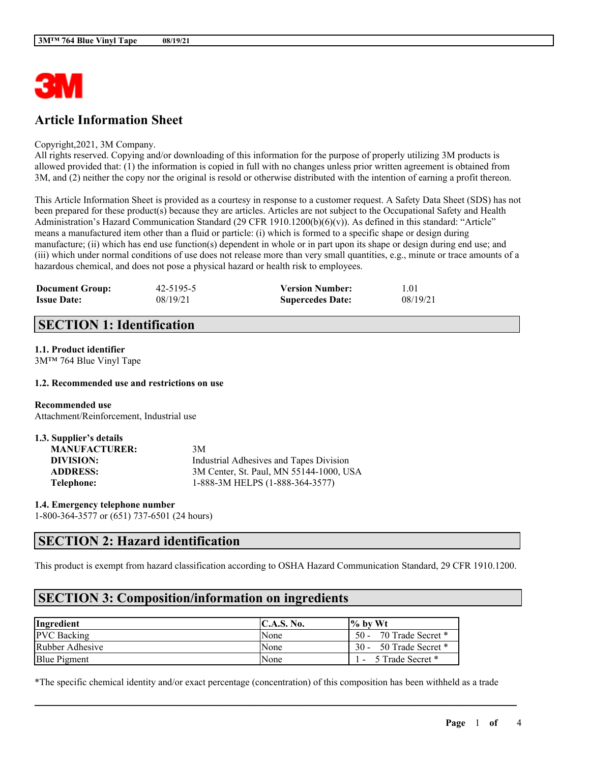

# **Article Information Sheet**

#### Copyright,2021, 3M Company.

All rights reserved. Copying and/or downloading of this information for the purpose of properly utilizing 3M products is allowed provided that: (1) the information is copied in full with no changes unless prior written agreement is obtained from 3M, and (2) neither the copy nor the original is resold or otherwise distributed with the intention of earning a profit thereon.

This Article Information Sheet is provided as a courtesy in response to a customer request. A Safety Data Sheet (SDS) has not been prepared for these product(s) because they are articles. Articles are not subject to the Occupational Safety and Health Administration's Hazard Communication Standard (29 CFR 1910.1200(b)(6)(v)). As defined in this standard: "Article" means a manufactured item other than a fluid or particle: (i) which is formed to a specific shape or design during manufacture; (ii) which has end use function(s) dependent in whole or in part upon its shape or design during end use; and (iii) which under normal conditions of use does not release more than very small quantities, e.g., minute or trace amounts of a hazardous chemical, and does not pose a physical hazard or health risk to employees.

| <b>Document Group:</b> | 42-5195-5 | <b>Version Number:</b>  | 1.01     |
|------------------------|-----------|-------------------------|----------|
| <b>Issue Date:</b>     | 08/19/21  | <b>Supercedes Date:</b> | 08/19/21 |

## **SECTION 1: Identification**

### **1.1. Product identifier**

3M™ 764 Blue Vinyl Tape

#### **1.2. Recommended use and restrictions on use**

**Recommended use** Attachment/Reinforcement, Industrial use

| 1.3. Supplier's details |                                         |
|-------------------------|-----------------------------------------|
| <b>MANUFACTURER:</b>    | 3M                                      |
| DIVISION:               | Industrial Adhesives and Tapes Division |
| <b>ADDRESS:</b>         | 3M Center, St. Paul, MN 55144-1000, USA |
| Telephone:              | 1-888-3M HELPS (1-888-364-3577)         |

**1.4. Emergency telephone number** 1-800-364-3577 or (651) 737-6501 (24 hours)

## **SECTION 2: Hazard identification**

This product is exempt from hazard classification according to OSHA Hazard Communication Standard, 29 CFR 1910.1200.

## **SECTION 3: Composition/information on ingredients**

| Ingredient          | $\mathbf{C}.\mathbf{A}.\mathbf{S}.\mathbf{No}.$ | $\frac{1}{6}$ by Wt         |
|---------------------|-------------------------------------------------|-----------------------------|
| <b>PVC</b> Backing  | None                                            | 70 Trade Secret *<br>$50 -$ |
| Rubber Adhesive     | None                                            | 50 Trade Secret *<br>$30 -$ |
| <b>Blue Pigment</b> | None                                            | 5 Trade Secret *            |

\*The specific chemical identity and/or exact percentage (concentration) of this composition has been withheld as a trade

 $\mathcal{L}_\mathcal{L} = \mathcal{L}_\mathcal{L} = \mathcal{L}_\mathcal{L} = \mathcal{L}_\mathcal{L} = \mathcal{L}_\mathcal{L} = \mathcal{L}_\mathcal{L} = \mathcal{L}_\mathcal{L} = \mathcal{L}_\mathcal{L} = \mathcal{L}_\mathcal{L} = \mathcal{L}_\mathcal{L} = \mathcal{L}_\mathcal{L} = \mathcal{L}_\mathcal{L} = \mathcal{L}_\mathcal{L} = \mathcal{L}_\mathcal{L} = \mathcal{L}_\mathcal{L} = \mathcal{L}_\mathcal{L} = \mathcal{L}_\mathcal{L}$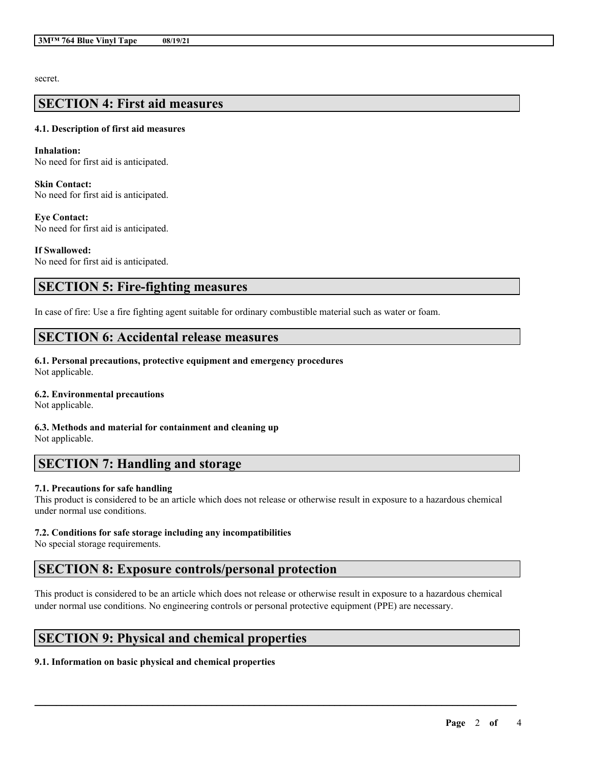secret.

### **SECTION 4: First aid measures**

#### **4.1. Description of first aid measures**

**Inhalation:** No need for first aid is anticipated.

**Skin Contact:** No need for first aid is anticipated.

**Eye Contact:** No need for first aid is anticipated.

**If Swallowed:** No need for first aid is anticipated.

### **SECTION 5: Fire-fighting measures**

In case of fire: Use a fire fighting agent suitable for ordinary combustible material such as water or foam.

### **SECTION 6: Accidental release measures**

**6.1. Personal precautions, protective equipment and emergency procedures** Not applicable.

### **6.2. Environmental precautions**

Not applicable.

**6.3. Methods and material for containment and cleaning up** Not applicable.

## **SECTION 7: Handling and storage**

### **7.1. Precautions for safe handling**

This product is considered to be an article which does not release or otherwise result in exposure to a hazardous chemical under normal use conditions.

### **7.2. Conditions for safe storage including any incompatibilities**

No special storage requirements.

## **SECTION 8: Exposure controls/personal protection**

This product is considered to be an article which does not release or otherwise result in exposure to a hazardous chemical under normal use conditions. No engineering controls or personal protective equipment (PPE) are necessary.

 $\mathcal{L}_\mathcal{L} = \mathcal{L}_\mathcal{L} = \mathcal{L}_\mathcal{L} = \mathcal{L}_\mathcal{L} = \mathcal{L}_\mathcal{L} = \mathcal{L}_\mathcal{L} = \mathcal{L}_\mathcal{L} = \mathcal{L}_\mathcal{L} = \mathcal{L}_\mathcal{L} = \mathcal{L}_\mathcal{L} = \mathcal{L}_\mathcal{L} = \mathcal{L}_\mathcal{L} = \mathcal{L}_\mathcal{L} = \mathcal{L}_\mathcal{L} = \mathcal{L}_\mathcal{L} = \mathcal{L}_\mathcal{L} = \mathcal{L}_\mathcal{L}$ 

## **SECTION 9: Physical and chemical properties**

### **9.1. Information on basic physical and chemical properties**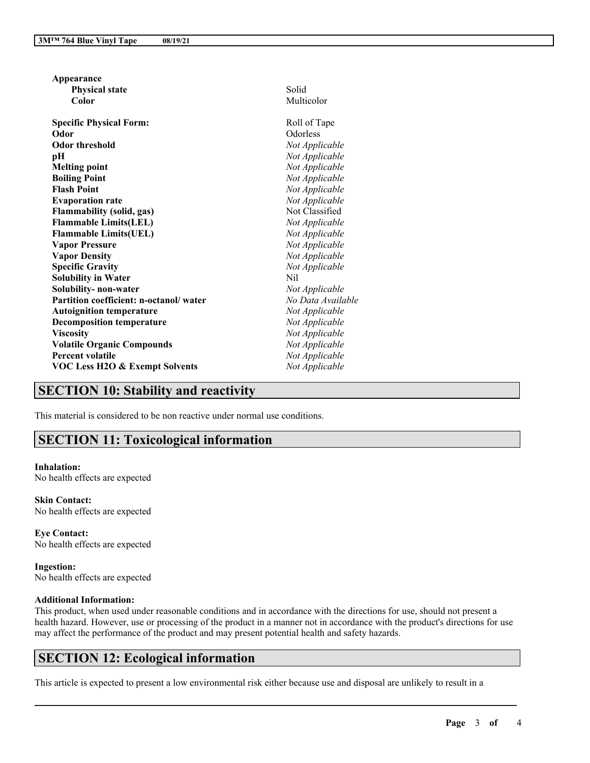| Solid<br><b>Physical state</b><br>Multicolor<br>Color<br><b>Specific Physical Form:</b><br>Roll of Tape<br>Odorless<br>Odor<br><b>Odor threshold</b><br>Not Applicable<br>Not Applicable<br>рH<br>Not Applicable<br><b>Melting point</b><br>Not Applicable<br><b>Boiling Point</b><br><b>Flash Point</b><br>Not Applicable<br>Not Applicable<br><b>Evaporation rate</b><br>Not Classified<br><b>Flammability (solid, gas)</b><br><b>Flammable Limits(LEL)</b><br>Not Applicable<br><b>Flammable Limits(UEL)</b><br>Not Applicable<br>Not Applicable<br><b>Vapor Pressure</b><br>Not Applicable<br><b>Vapor Density</b><br><b>Specific Gravity</b><br>Not Applicable<br><b>Solubility in Water</b><br>Nil<br>Solubility- non-water<br>Not Applicable<br>Partition coefficient: n-octanol/water<br>No Data Available<br><b>Autoignition temperature</b><br>Not Applicable<br><b>Decomposition temperature</b><br>Not Applicable<br><b>Viscosity</b><br>Not Applicable<br>Not Applicable<br><b>Volatile Organic Compounds</b><br>Not Applicable<br><b>Percent volatile</b><br>Not Applicable<br><b>VOC Less H2O &amp; Exempt Solvents</b> | Appearance |  |
|----------------------------------------------------------------------------------------------------------------------------------------------------------------------------------------------------------------------------------------------------------------------------------------------------------------------------------------------------------------------------------------------------------------------------------------------------------------------------------------------------------------------------------------------------------------------------------------------------------------------------------------------------------------------------------------------------------------------------------------------------------------------------------------------------------------------------------------------------------------------------------------------------------------------------------------------------------------------------------------------------------------------------------------------------------------------------------------------------------------------------------------|------------|--|
|                                                                                                                                                                                                                                                                                                                                                                                                                                                                                                                                                                                                                                                                                                                                                                                                                                                                                                                                                                                                                                                                                                                                        |            |  |
|                                                                                                                                                                                                                                                                                                                                                                                                                                                                                                                                                                                                                                                                                                                                                                                                                                                                                                                                                                                                                                                                                                                                        |            |  |
|                                                                                                                                                                                                                                                                                                                                                                                                                                                                                                                                                                                                                                                                                                                                                                                                                                                                                                                                                                                                                                                                                                                                        |            |  |
|                                                                                                                                                                                                                                                                                                                                                                                                                                                                                                                                                                                                                                                                                                                                                                                                                                                                                                                                                                                                                                                                                                                                        |            |  |
|                                                                                                                                                                                                                                                                                                                                                                                                                                                                                                                                                                                                                                                                                                                                                                                                                                                                                                                                                                                                                                                                                                                                        |            |  |
|                                                                                                                                                                                                                                                                                                                                                                                                                                                                                                                                                                                                                                                                                                                                                                                                                                                                                                                                                                                                                                                                                                                                        |            |  |
|                                                                                                                                                                                                                                                                                                                                                                                                                                                                                                                                                                                                                                                                                                                                                                                                                                                                                                                                                                                                                                                                                                                                        |            |  |
|                                                                                                                                                                                                                                                                                                                                                                                                                                                                                                                                                                                                                                                                                                                                                                                                                                                                                                                                                                                                                                                                                                                                        |            |  |
|                                                                                                                                                                                                                                                                                                                                                                                                                                                                                                                                                                                                                                                                                                                                                                                                                                                                                                                                                                                                                                                                                                                                        |            |  |
|                                                                                                                                                                                                                                                                                                                                                                                                                                                                                                                                                                                                                                                                                                                                                                                                                                                                                                                                                                                                                                                                                                                                        |            |  |
|                                                                                                                                                                                                                                                                                                                                                                                                                                                                                                                                                                                                                                                                                                                                                                                                                                                                                                                                                                                                                                                                                                                                        |            |  |
|                                                                                                                                                                                                                                                                                                                                                                                                                                                                                                                                                                                                                                                                                                                                                                                                                                                                                                                                                                                                                                                                                                                                        |            |  |
|                                                                                                                                                                                                                                                                                                                                                                                                                                                                                                                                                                                                                                                                                                                                                                                                                                                                                                                                                                                                                                                                                                                                        |            |  |
|                                                                                                                                                                                                                                                                                                                                                                                                                                                                                                                                                                                                                                                                                                                                                                                                                                                                                                                                                                                                                                                                                                                                        |            |  |
|                                                                                                                                                                                                                                                                                                                                                                                                                                                                                                                                                                                                                                                                                                                                                                                                                                                                                                                                                                                                                                                                                                                                        |            |  |
|                                                                                                                                                                                                                                                                                                                                                                                                                                                                                                                                                                                                                                                                                                                                                                                                                                                                                                                                                                                                                                                                                                                                        |            |  |
|                                                                                                                                                                                                                                                                                                                                                                                                                                                                                                                                                                                                                                                                                                                                                                                                                                                                                                                                                                                                                                                                                                                                        |            |  |
|                                                                                                                                                                                                                                                                                                                                                                                                                                                                                                                                                                                                                                                                                                                                                                                                                                                                                                                                                                                                                                                                                                                                        |            |  |
|                                                                                                                                                                                                                                                                                                                                                                                                                                                                                                                                                                                                                                                                                                                                                                                                                                                                                                                                                                                                                                                                                                                                        |            |  |
|                                                                                                                                                                                                                                                                                                                                                                                                                                                                                                                                                                                                                                                                                                                                                                                                                                                                                                                                                                                                                                                                                                                                        |            |  |
|                                                                                                                                                                                                                                                                                                                                                                                                                                                                                                                                                                                                                                                                                                                                                                                                                                                                                                                                                                                                                                                                                                                                        |            |  |
|                                                                                                                                                                                                                                                                                                                                                                                                                                                                                                                                                                                                                                                                                                                                                                                                                                                                                                                                                                                                                                                                                                                                        |            |  |
|                                                                                                                                                                                                                                                                                                                                                                                                                                                                                                                                                                                                                                                                                                                                                                                                                                                                                                                                                                                                                                                                                                                                        |            |  |
|                                                                                                                                                                                                                                                                                                                                                                                                                                                                                                                                                                                                                                                                                                                                                                                                                                                                                                                                                                                                                                                                                                                                        |            |  |
|                                                                                                                                                                                                                                                                                                                                                                                                                                                                                                                                                                                                                                                                                                                                                                                                                                                                                                                                                                                                                                                                                                                                        |            |  |

## **SECTION 10: Stability and reactivity**

This material is considered to be non reactive under normal use conditions.

# **SECTION 11: Toxicological information**

**Inhalation:** No health effects are expected

**Skin Contact:** No health effects are expected

**Eye Contact:** No health effects are expected

**Ingestion:** No health effects are expected

### **Additional Information:**

This product, when used under reasonable conditions and in accordance with the directions for use, should not present a health hazard. However, use or processing of the product in a manner not in accordance with the product's directions for use may affect the performance of the product and may present potential health and safety hazards.

 $\mathcal{L}_\mathcal{L} = \mathcal{L}_\mathcal{L} = \mathcal{L}_\mathcal{L} = \mathcal{L}_\mathcal{L} = \mathcal{L}_\mathcal{L} = \mathcal{L}_\mathcal{L} = \mathcal{L}_\mathcal{L} = \mathcal{L}_\mathcal{L} = \mathcal{L}_\mathcal{L} = \mathcal{L}_\mathcal{L} = \mathcal{L}_\mathcal{L} = \mathcal{L}_\mathcal{L} = \mathcal{L}_\mathcal{L} = \mathcal{L}_\mathcal{L} = \mathcal{L}_\mathcal{L} = \mathcal{L}_\mathcal{L} = \mathcal{L}_\mathcal{L}$ 

## **SECTION 12: Ecological information**

This article is expected to present a low environmental risk either because use and disposal are unlikely to result in a